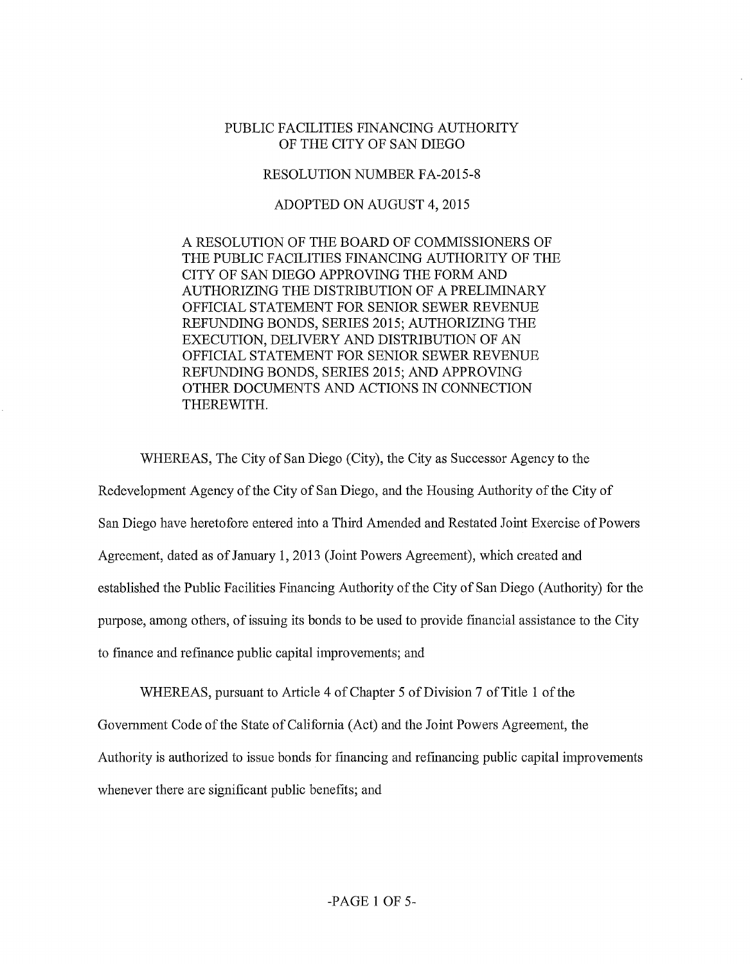## PUBLIC FACILITIES FINANCING AUTHORITY OF THE CITY OF SAN DIEGO

## RESOLUTION NUMBER FA-2015-8

## ADOPTED ON AUGUST 4, 2015

A RESOLUTION OF THE BOARD OF COMMISSIONERS OF THE PUBLIC FACILITIES FINANCING AUTHORITY OF THE CITY OF SAN DIEGO APPROVING THE FORM AND AUTHORIZING THE DISTRIBUTION OF A PRELIMINARY OFFICIAL STATEMENT FOR SENIOR SEWER REVENUE REFUNDING BONDS, SERIES 2015; AUTHORIZING THE EXECUTION, DELIVERY AND DISTRIBUTION OF AN OFFICIAL STATEMENT FOR SENIOR SEWER REVENUE REFUNDING BONDS, SERIES 2015; AND APPROVING OTHER DOCUMENTS AND ACTIONS IN CONNECTION THEREWITH.

WHEREAS, The City of San Diego (City), the City as Successor Agency to the

Redevelopment Agency of the City of San Diego, and the Housing Authority of the City of San Diego have heretofore entered into a Third Amended and Restated Joint Exercise of Powers Agreement, dated as ofJanuary 1, 2013 (Joint Powers Agreement), which created and established the Public Facilities Financing Authority of the City of San Diego (Authority) for the purpose, among others, of issuing its bonds to be used to provide fmancial assistance to the City to fmance and refmance public capital improvements; and

WHEREAS, pursuant to Article 4 of Chapter 5 of Division 7 of Title 1 of the

Government Code of the State of California (Act) and the Joint Powers Agreement, the

Authority is authorized to issue bonds for financing and refinancing public capital improvements

whenever there are significant public benefits; and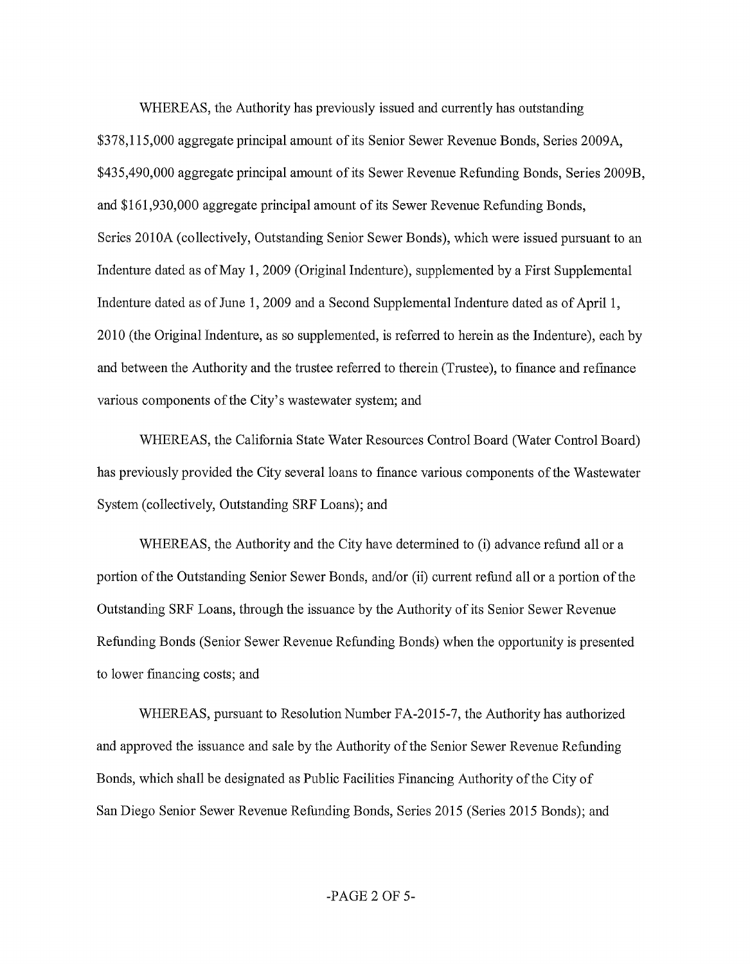WHEREAS, the Authority has previously issued and currently has outstanding \$378,115,000 aggregate principal amount of its Senior Sewer Revenue Bonds, Series 2009A, \$435,490,000 aggregate principal amount of its Sewer Revenue Refunding Bonds, Series 2009B, and \$161,930,000 aggregate principal amount of its Sewer Revenue Refunding Bonds, Series 2010A (collectively, Outstanding Senior Sewer Bonds), which were issued pursuant to an Indenture dated as of May 1, 2009 (Original Indenture), supplemented by a First Supplemental Indenture dated as of June 1, 2009 and a Second Supplemental Indenture dated as of April1, 2010 (the Original Indenture, as so supplemented, is referred to herein as the Indenture), each by and between the Authority and the trustee referred to therein (Trustee), to finance and refmance various components of the City's wastewater system; and

WHEREAS, the California State Water Resources Control Board (Water Control Board) has previously provided the City several loans to finance various components of the Wastewater System (collectively, Outstanding SRF Loans); and

WHEREAS, the Authority and the City have determined to (i) advance refund all or a portion of the Outstanding Senior Sewer Bonds, and/or (ii) current refund all or a portion of the Outstanding SRF Loans, through the issuance by the Authority of its Senior Sewer Revenue Refunding Bonds (Senior Sewer Revenue Refunding Bonds) when the opportunity is presented to lower financing costs; and

WHEREAS, pursuant to Resolution Number FA-2015-7, the Authority has authorized and approved the issuance and sale by the Authority of the Senior Sewer Revenue Refunding Bonds, which shall be designated as Public Facilities Financing Authority of the City of San Diego Senior Sewer Revenue Refunding Bonds, Series 2015 (Series 2015 Bonds); and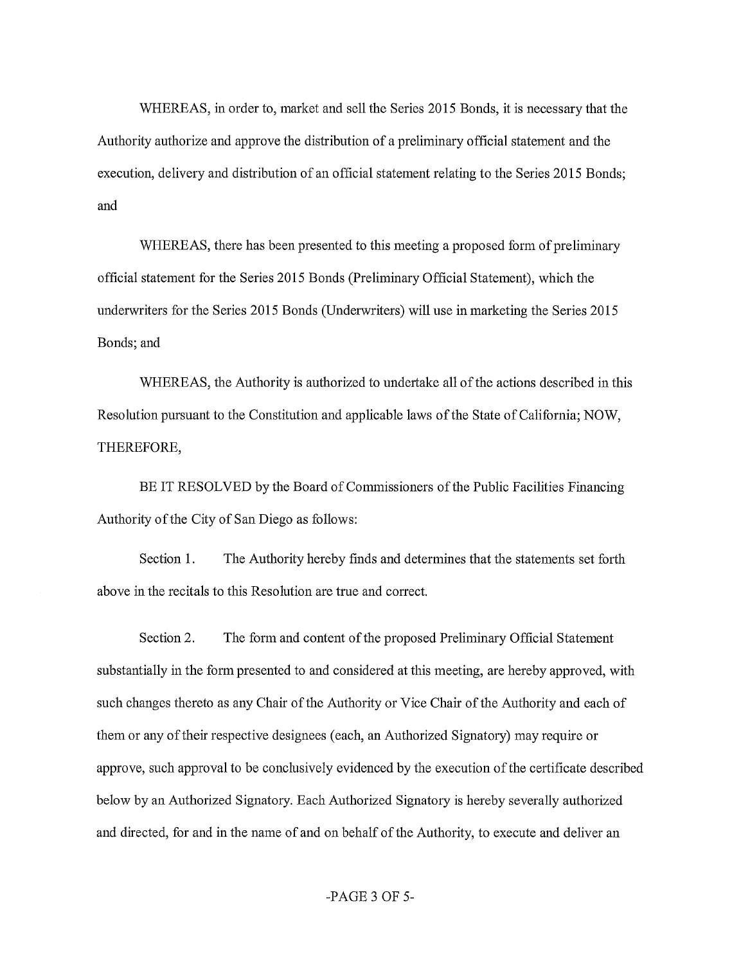WHEREAS, in order to, market and sell the Series 2015 Bonds, it is necessary that the Authority authorize and approve the distribution of a preliminary official statement and the execution, delivery and distribution of an official statement relating to the Series 2015 Bonds; and

WHEREAS, there has been presented to this meeting a proposed form of preliminary official statement for the Series 2015 Bonds (Preliminary Official Statement), which the underwriters for the Series 2015 Bonds (Underwriters) will use in marketing the Series 2015 Bonds; and

WHEREAS, the Authority is authorized to undertake all of the actions described in this Resolution pursuant to the Constitution and applicable laws of the State of California; NOW, THEREFORE,

BE IT RESOLVED by the Board of Commissioners of the Public Facilities Financing Authority of the City of San Diego as follows:

Section 1. The Authority hereby finds and determines that the statements set forth above in the recitals to this Resolution are true and correct.

Section 2. The form and content of the proposed Preliminary Official Statement substantially in the form presented to and considered at this meeting, are hereby approved, with such changes thereto as any Chair of the Authority or Vice Chair of the Authority and each of them or any oftheir respective designees (each, an Authorized Signatory) may require or approve, such approval to be conclusively evidenced by the execution of the certificate described below by an Authorized Signatory. Each Authorized Signatory is hereby severally authorized and directed, for and in the name of and on behalf of the Authority, to execute and deliver an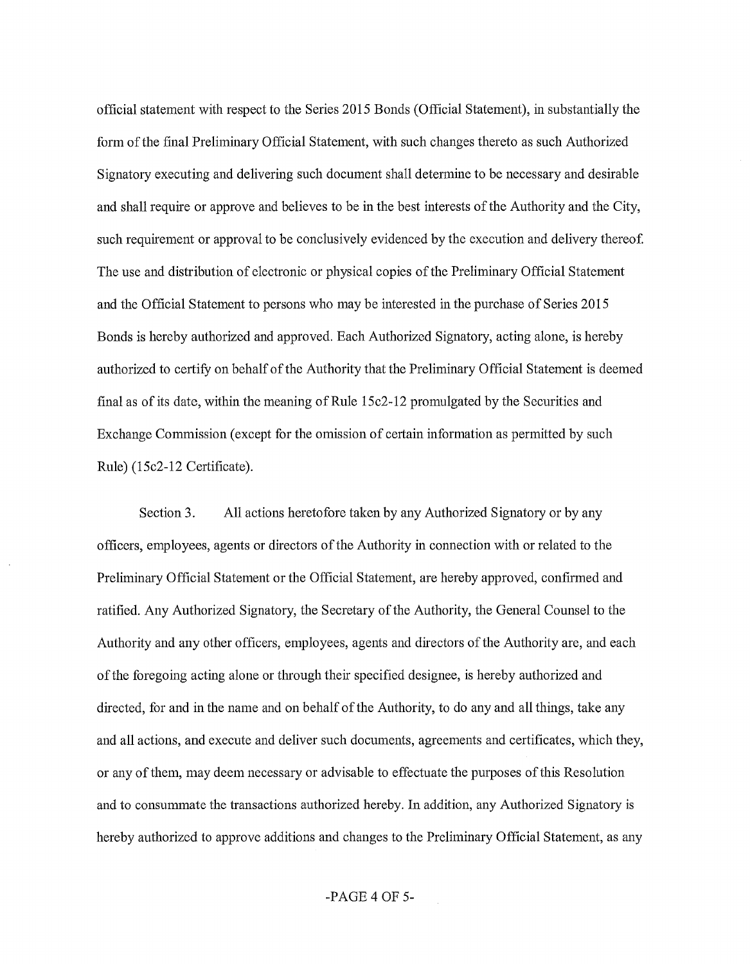official statement with respect to the Series 2015 Bonds (Official Statement), in substantially the form of the final Preliminary Official Statement, with such changes thereto as such Authorized Signatory executing and delivering such document shall determine to be necessary and desirable and shall require or approve and believes to be in the best interests of the Authority and the City, such requirement or approval to be conclusively evidenced by the execution and delivery thereof. The use and distribution of electronic or physical copies of the Preliminary Official Statement and the Official Statement to persons who may be interested in the purchase of Series 2015 Bonds is hereby authorized and approved. Each Authorized Signatory, acting alone, is hereby authorized to certify on behalf of the Authority that the Preliminary Official Statement is deemed final as of its date, within the meaning ofRule 15c2-12 promulgated by the Securities and Exchange Commission (except for the omission of certain information as permitted by such Rule) (15c2-12 Certificate).

Section 3. All actions heretofore taken by any Authorized Signatory or by any officers, employees, agents or directors of the Authority in connection with or related to the Preliminary Official Statement or the Official Statement, are hereby approved, confirmed and ratified. Any Authorized Signatory, the Secretary of the Authority, the General Counsel to the Authority and any other officers, employees, agents and directors of the Authority are, and each of the foregoing acting alone or through their specified designee, is hereby authorized and directed, for and in the name and on behalf of the Authority, to do any and all things, take any and all actions, and execute and deliver such documents, agreements and certificates, which they, or any of them, may deem necessary or advisable to effectuate the purposes of this Resolution and to consummate the transactions authorized hereby. In addition, any Authorized Signatory is hereby authorized to approve additions and changes to the Preliminary Official Statement, as any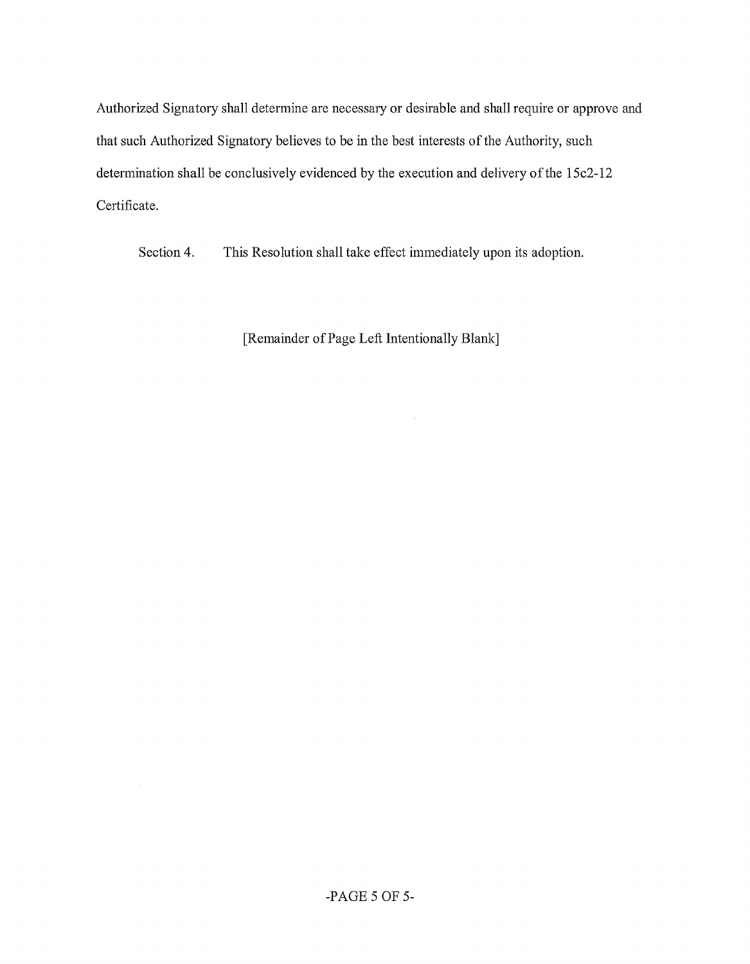Authorized Signatory shall determine are necessary or desirable and shall require or approve and that such Authorized Signatory believes to be in the best interests of the Authority, such determination shall be conclusively evidenced by the execution and delivery of the 15c2-12 Certificate.

Section 4. This Resolution shall take effect immediately upon its adoption.

[Remainder of Page Left Intentionally Blank]

 $\sim$